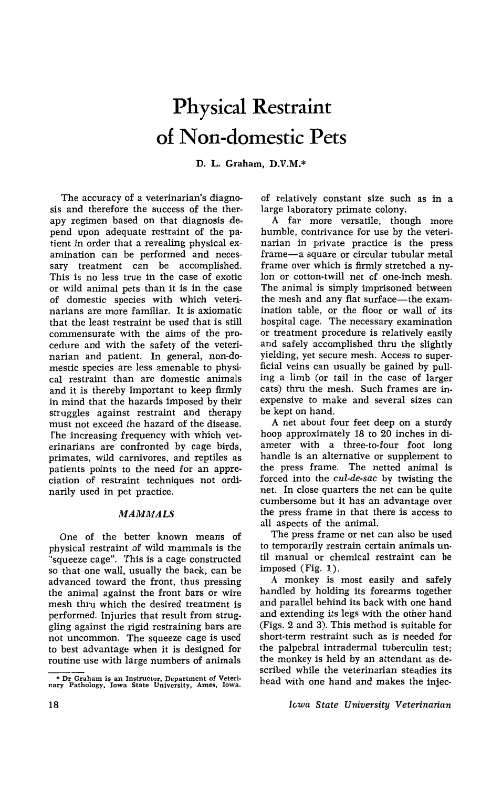# **Physical Restraint of Non-domestic Pets**

D. L. Graham, D.V.M.\*

The accuracy of a veterinarian's diagnosis and therefore the success of the therapy regimen based on that diagnosis  $de$ . pend upon adequate restraint of the patient in order that a revealing physical examination can be performed and necessary treatment can be accomplished. This is no less true in the case of exotic or wild animal pets than it is in the case of domestic species with which veterinarians are more familiar. It is axiomatic that the least restraint be used that is still commensurate with the aims of the procedure and with the safety of the veterinarian and patient. In general, non-domestic species are less amenable to physical restraint than are domestic animals and it is thereby important to keep firmly in mind that the hazards imposed by their struggles against restraint and therapy must not exceed the hazard of the disease. fhe increasing frequency with which veterinarians are confronted by cage birds, primates, wild carnivores, and reptiles as patients points to the need for an appreciation of restraint techniques not ordinarily used in pet practice.

### *MAMMALS*

One of the better known means of physical restraint of wild mammals is the "squeeze cage". This is a cage constructed so that one wall, usually the back, can be advanced toward the front, thus pressing the animal against the front bars or wire mesh thru which the desired treatment is performed. Injuries that result from struggling against the rigid restraining bars are not uncommon. The squeeze cage is used to best advantage when it is designed for routine use with large numbers of animals of relatively constant size such as in a large laboratory primate colony;

A far more versatile, though more humble, contrivance for use by the veterinarian in private practice is the press frame-a square or circular tubular metal frame over which is firmly stretched a nylon or cotton-twill net of one-inch mesh. The animal is simply imprisoned between the mesh and any flat surface—the examination table, or the floor or wall of its hospital cage. The necessary examination or treatment procedure is relatively easily and safely accomplished thru the slightly yielding, yet secure mesh. Access to superficial veins can usually be gained by pulling a limb (or tail in the case of larger cats) thru the mesh. Such frames are inexpensive to make and several sizes can be kept on hand.

A net about four feet deep on a sturdy hoop approximately 18 to 20 inches in diameter with a three-to-four foot long handle is an alternative or supplement to the press frame. The netted animal is forced into the *cul-de-sac* by twisting the net. In close quarters the net can be quite cumbersome but it has an advantage over the press frame in that there is access to all aspects of the animal.

The press frame or net can also be used to temporarily restrain certain animals until manual or chemical restraint can be imposed (Fig. 1).

A monkey is most easily and safely handled by holding its forearms together and parallel behind its back with one hand and extending its legs with the other hand (Figs. 2 and 3). This method is suitable for short-term restraint such as is needed for the palpebral intradermal tuberculin test; the monkey is held by an attendant as de· scribed while the veterinarian steadies its head with one hand and makes the injec-

*lGwa State University Veterinarian* 

<sup>\*</sup> Dr Graham is an Instructor, Department of Veteri· nary Pathology, Iowa State University, Ames, Iowa.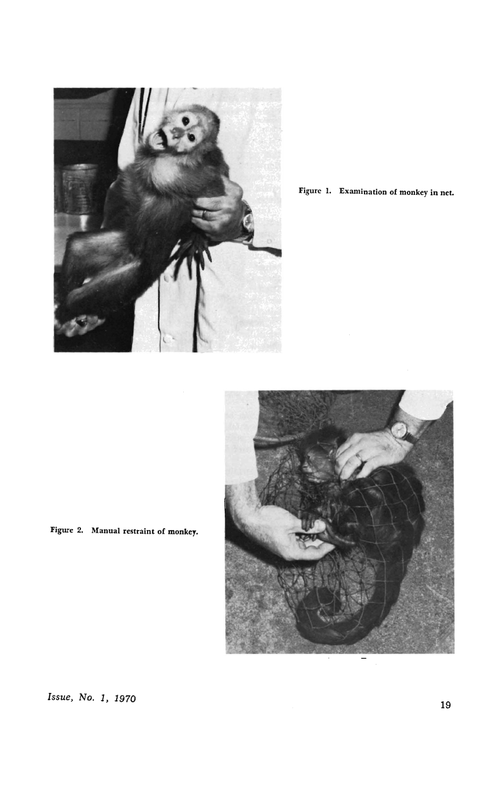

Figure I. Examination of monkey in net.



Figure 2. Manual restraint of monkey.

*Issue, No. 1, 1970* 19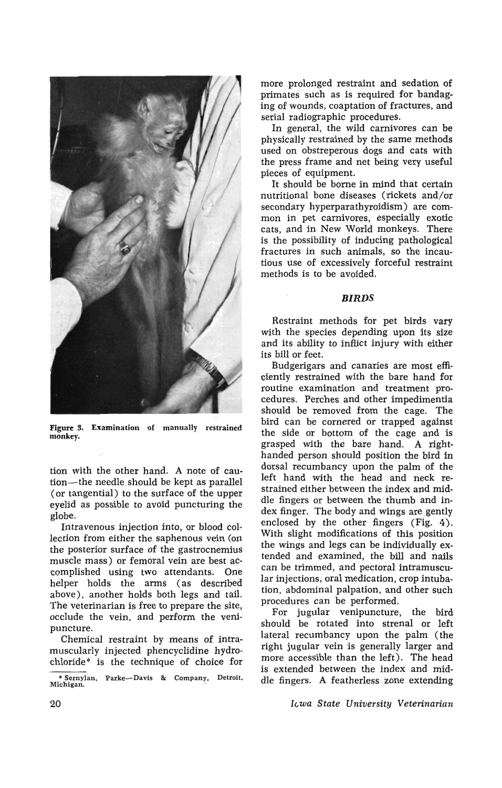

Figure 3. Examination of manually restrained monkey.

tion with the other hand. A note of caution-the needle should be kept as parallel (or tangential) to the surface of the upper eyelid as possible to avoid puncturing the globe.

Intravenous injection into, or blood collection from either the saphenous vein (on the posterior surface of the gastrocnemius muscle mass) or femoral vein are best accomplished using two attendants. One helper holds the arms (as described above), another holds both legs and tail. The veterinarian is free to prepare the site, occlude the vein, and perform the venipuncture.

Chemical restraint by means of intramuscularly injected phencyclidine hydrochloride\* is the technique of choice for more prolonged restraint and sedation of primates such as is required for bandaging of wounds, coaptation of fractures, and serial radiographic procedures.

In general, the wild carnivores can be physically restrained by the same methods used on obstreperous dogs and cats with the press frame and net being very useful pieces of equipment.

It should be borne in mind that certain nutritional bone diseases (rickets and/or secondary hyperparathyroidism) are common in pet carnivores, especially exotic cats, and in New World monkeys. There is the possibility of inducing pathological fractures in such animals, so the incautious use of excessively forceful restraint methods is to be avoided.

### *BIRDS*

Restraint methods for pet birds vary with the species depending upon its size and its ability to inflict injury with either its bill or feet.

Budgerigars and canaries are most efficiently restrained with the bare hand for routine examination and treatment procedures. Perches and other impedimentia should be removed from the cage. The bird can be cornered or trapped against the side or bottom of the cage and is grasped with the bare hand. A righthanded person should position the bird in dorsal recumbancy upon the palm of the left hand with the head and neck restrained either between the index and middle fingers or between the thumb and index finger. The body and wings are gently enclosed by the other fingers (Fig. 4). With slight modifications of this position the wings and legs can be individually extended and examined, the bill and nails can be trimmed, and pectoral intramuscular injections, oral medication, crop intubation, abdominal palpation, and other such procedures can be performed.

For jugular venipuncture, the bird should be rotated into strenal or left lateral recumbancy upon the palm (the right jugular vein is generally larger and more accessible than the left). The head is extended between the index and middle fingers. A featherless zone extending

*Ic.wa State University Veterinarian* 

<sup>\*</sup> Sernylan, Parke-Davis & Company, Detroit, Michigan.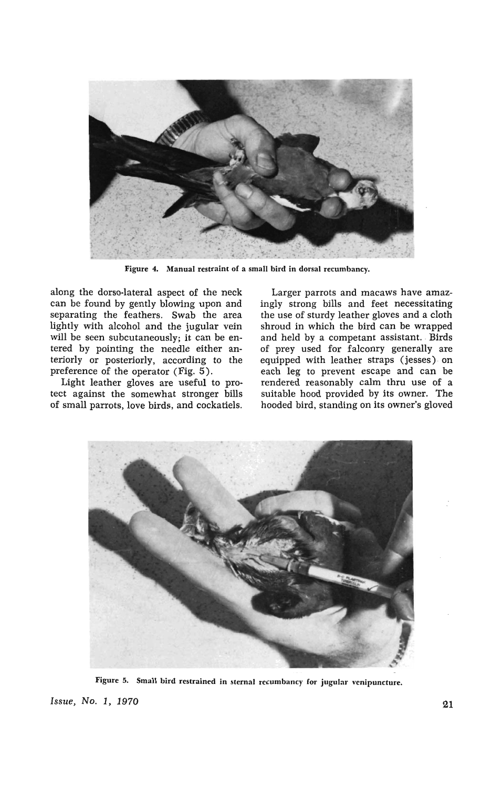

Figure 4. Manual restraint of a small bird in dorsal recumbancy.

along the dorso-Iateral aspect of the neck can be found by gently blowing upon and separating the feathers. Swab the area lightly with alcohol and the jugular vein will be seen subcutaneously; it can be entered by pointing the needle either anteriorly or posteriorly, according to the preference of the operator (Fig. 5).

Light leather gloves are useful to protect against the somewhat stronger bills of small parrots, love birds, and cockatiels.

Larger parrots and macaws have amazingly strong bills and feet necessitating the use of sturdy leather gloves and a cloth shroud in which the bird can be wrapped and held by a competant assistant. Birds of prey used for falconry generally are equipped with leather straps (jesses) on each leg to prevent escape and can be rendered reasonably calm thru use of a suitable hood provided by its owner. The hooded bird, standing on its owner's gloved



Figure 5. Small bird restrained in sternal recumbancy for jugular venipuncture. **Issue, No. 1, 1970 21**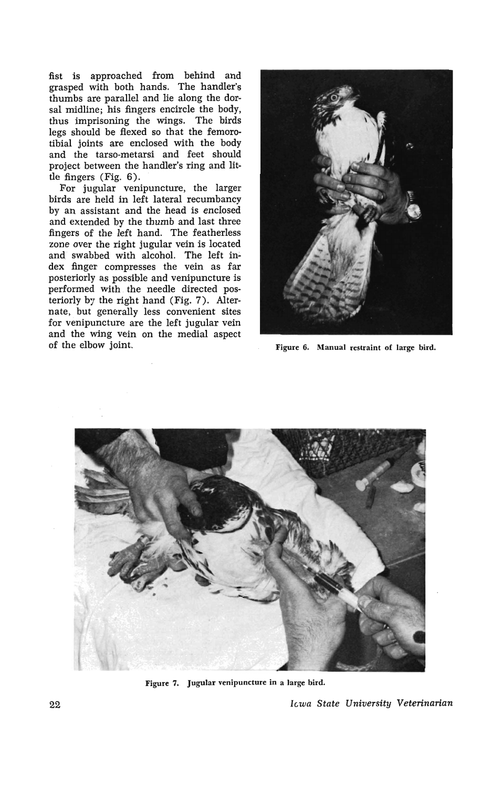fist is approached from behind and grasped with both hands. The handler's thumbs are parallel and lie along the dorsal midline; his fingers encircle the body, thus imprisoning the wings. The birds legs should be flexed so that the femorotibial joints are enclosed with the body and the tarso-metarsi and feet should project between the handler's ring and little fingers (Fig. 6).

For jugular venipuncture, the larger birds are held in left lateral recumbancy by an assistant and the head is enclosed and extended by the thumb and last three fingers of the left hand. The featherless zone over the right jugular vein is located and swabbed with alcohol. The left index finger compresses the vein as far posteriorly as possible and venipuncture is performed with the needle directed posteriorly by the right hand (Fig. 7). Alternate, but generally less convenient sites for venipuncture are the left jugular vein and the wing vein on the medial aspect of the elbow joint. Figure 6. Manual restraint of large bird.





Figure 7. Jugular venipuncture in a large bird.

22 *hwa State University Veterinarian*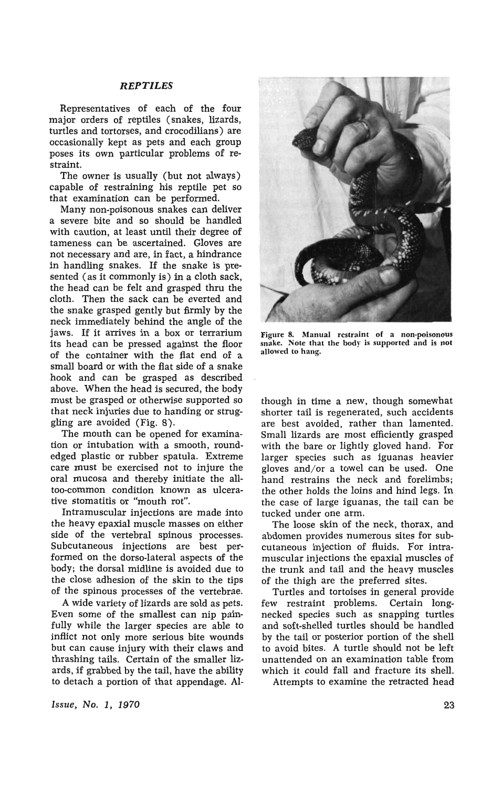### *REPTILES*

Representatives of each of the four major orders of reptiles (snakes, lizards, turtles and tortorses, and crocodilians) are occasionally kept as pets and each group poses its own particular problems of restraint.

The owner is usually (but not always) capable of restraining his reptile pet so that examination can be performed.

Many non-poisonous snakes can deliver a severe bite and so should be handled with caution, at least until their degree of tameness can be ascertained. Gloves are not necessary and are, in fact, a hindrance in handling snakes. If the snake is presented (as it commonly is) in a cloth sack, the head can be felt and grasped thru the cloth. Then the sack can be everted and the snake grasped gently but firmly by the neck immediately behind the angle of the jaws. If it arrives in a box or terrarium its head can be pressed against the floor of the container with the flat end of a small board or with the flat side of a snake hook and can be grasped as described above. When the head is secured, the body must be grasped or otherwise supported so that neck injuries due to handing or struggling are avoided (Fig. 8).

The mouth can be opened for examination or intubation with a smooth, roundedged plastic or rubber spatula. Extreme care must be exercised not to injure the oral mucosa and thereby initiate the aUtoo-common condition known as ulcerative stomatitis or "mouth rot".

Intramuscular injections are made into the heavy epaxial muscle masses on either side of the vertebral spinous processes. Subcutaneous injections are best performed on the dorso-Iateral aspects of the body; the dorsal midline is avoided due to the close adhesion of the skin to the tips of the spinous processes of the vertebrae.

A wide variety of lizards are sold as pets. Even some of the smallest can nip painfully while the larger species are able to inflict not only more serious bite wounds but can cause injury with their claws and thrashing tails. Certain of the smaller lizards, if grabbed by the tail, have the ability to detach a portion of that appendage. AI-



Figure 8. Manual restraint of a non-poisonous snake. Note that the body is supported and is not allowed to hang.

though in time a new, though somewhat shorter tail is regenerated, such accidents are best avoided, rather than lamented. Small lizards are most efficiently grasped with the bare or lightly gloved hand. For larger species such as iguanas heavier gloves and/or a towel can be used. One hand restrains the neck and forelimbs; the other holds the loins and hind legs. In the case of large iguanas, the tail can be tucked under one arm.

The loose skin of the neck, thorax, and abdomen provides numerous sites for subcutaneous injection of fluids. For intramuscular injections the epaxial muscles of the trunk and tail and the heavy muscles of the thigh are the preferred sites.

Turtles and tortoises in general provide few restraint problems. Certain longnecked species such as snapping turtles and soft-shelled turtles should be handled by the tail or posterior portion of the shell to avoid bites. A turtle should not be left unattended on an examination table from which it could fall and fracture its shell.

Attempts to examine the retracted head

Issue, No.1, 1970